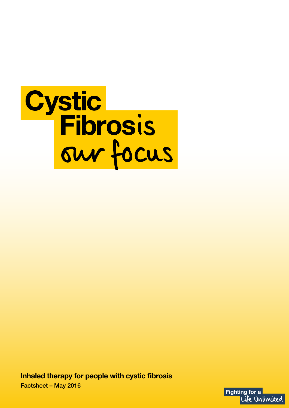

**Inhaled therapy for people with cystic fibrosis** Factsheet – May 2016

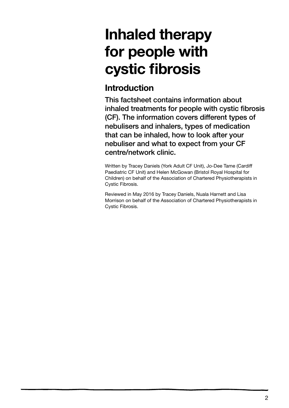# **Inhaled therapy for people with cystic fibrosis**

## **Introduction**

This factsheet contains information about inhaled treatments for people with cystic fibrosis (CF). The information covers different types of nebulisers and inhalers, types of medication that can be inhaled, how to look after your nebuliser and what to expect from your CF centre/network clinic.

Written by Tracey Daniels (York Adult CF Unit), Jo-Dee Tame (Cardiff Paediatric CF Unit) and Helen McGowan (Bristol Royal Hospital for Children) on behalf of the Association of Chartered Physiotherapists in Cystic Fibrosis.

Reviewed in May 2016 by Tracey Daniels, Nuala Harnett and Lisa Morrison on behalf of the Association of Chartered Physiotherapists in Cystic Fibrosis.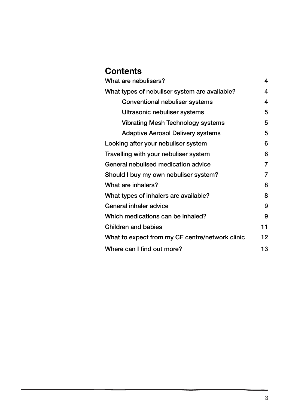## **Contents**

| What are nebulisers?                            | 4              |
|-------------------------------------------------|----------------|
| What types of nebuliser system are available?   | 4              |
| <b>Conventional nebuliser systems</b>           | 4              |
| Ultrasonic nebuliser systems                    | 5              |
| <b>Vibrating Mesh Technology systems</b>        | 5              |
| <b>Adaptive Aerosol Delivery systems</b>        | 5              |
| Looking after your nebuliser system             | 6              |
| Travelling with your nebuliser system           | 6              |
| General nebulised medication advice             | 7              |
| Should I buy my own nebuliser system?           | $\overline{7}$ |
| What are inhalers?                              | 8              |
| What types of inhalers are available?           | 8              |
| General inhaler advice                          | 9              |
| Which medications can be inhaled?               | 9              |
| <b>Children and babies</b>                      | 11             |
| What to expect from my CF centre/network clinic | 12             |
| Where can I find out more?                      | 13             |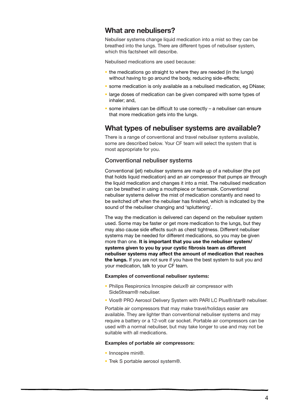#### **What are nebulisers?**

Nebuliser systems change liquid medication into a mist so they can be breathed into the lungs. There are different types of nebuliser system, which this factsheet will describe.

Nebulised medications are used because:

- the medications go straight to where they are needed (in the lungs) without having to go around the body, reducing side-effects;
- **some medication is only available as a nebulised medication, eg DNase;**
- **.** large doses of medication can be given compared with some types of inhaler; and,
- some inhalers can be difficult to use correctly a nebuliser can ensure that more medication gets into the lungs.

#### **What types of nebuliser systems are available?**

There is a range of conventional and travel nebuliser systems available, some are described below. Your CF team will select the system that is most appropriate for you.

#### Conventional nebuliser systems

Conventional (jet) nebuliser systems are made up of a nebuliser (the pot that holds liquid medication) and an air compressor that pumps air through the liquid medication and changes it into a mist. The nebulised medication can be breathed in using a mouthpiece or facemask. Conventional nebuliser systems deliver the mist of medication constantly and need to be switched off when the nebuliser has finished, which is indicated by the sound of the nebuliser changing and 'spluttering'.

The way the medication is delivered can depend on the nebuliser system used. Some may be faster or get more medication to the lungs, but they may also cause side effects such as chest tightness. Different nebuliser systems may be needed for different medications, so you may be given more than one. **It is important that you use the nebuliser system/ systems given to you by your cystic fibrosis team as different nebuliser systems may affect the amount of medication that reaches the lungs.** If you are not sure if you have the best system to suit you and your medication, talk to your CF team.

#### **Examples of conventional nebuliser systems:**

- Philips Respironics Innospire delux<sup>®</sup> air compressor with SideStream® nebuliser.
- Vios® PRO Aerosol Delivery System with PARI LC Plus®/star® nebuliser.

Portable air compressors that may make travel/holidays easier are available. They are lighter than conventional nebuliser systems and may require a battery or a 12-volt car socket. Portable air compressors can be used with a normal nebuliser, but may take longer to use and may not be suitable with all medications.

#### **Examples of portable air compressors:**

- Innospire mini®.
- Trek S portable aerosol system®.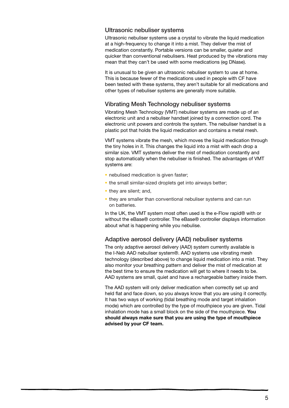#### Ultrasonic nebuliser systems

Ultrasonic nebuliser systems use a crystal to vibrate the liquid medication at a high-frequency to change it into a mist. They deliver the mist of medication constantly. Portable versions can be smaller, quieter and quicker than conventional nebulisers. Heat produced by the vibrations may mean that they can't be used with some medications (eg DNase).

It is unusual to be given an ultrasonic nebuliser system to use at home. This is because fewer of the medications used in people with CF have been tested with these systems, they aren't suitable for all medications and other types of nebuliser systems are generally more suitable.

#### Vibrating Mesh Technology nebuliser systems

Vibrating Mesh Technology (VMT) nebuliser systems are made up of an electronic unit and a nebuliser handset joined by a connection cord. The electronic unit powers and controls the system. The nebuliser handset is a plastic pot that holds the liquid medication and contains a metal mesh.

VMT systems vibrate the mesh, which moves the liquid medication through the tiny holes in it. This changes the liquid into a mist with each drop a similar size. VMT systems deliver the mist of medication constantly and stop automatically when the nebuliser is finished. The advantages of VMT systems are:

- nebulised medication is given faster;
- the small similar-sized droplets get into airways better;
- they are silent; and,
- **they are smaller than conventional nebuliser systems and can run** on batteries.

In the UK, the VMT system most often used is the e-Flow rapid® with or without the eBase® controller. The eBase® controller displays information about what is happening while you nebulise.

#### Adaptive aerosol delivery (AAD) nebuliser systems

The only adaptive aerosol delivery (AAD) system currently available is the I-Neb AAD nebuliser system®. AAD systems use vibrating mesh technology (described above) to change liquid medication into a mist. They also monitor your breathing pattern and deliver the mist of medication at the best time to ensure the medication will get to where it needs to be. AAD systems are small, quiet and have a rechargeable battery inside them.

The AAD system will only deliver medication when correctly set up and held flat and face down, so you always know that you are using it correctly. It has two ways of working (tidal breathing mode and target inhalation mode) which are controlled by the type of mouthpiece you are given. Tidal inhalation mode has a small block on the side of the mouthpiece. **You should always make sure that you are using the type of mouthpiece advised by your CF team.**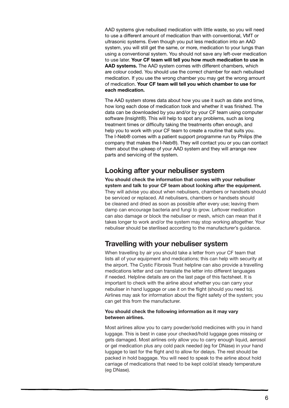AAD systems give nebulised medication with little waste, so you will need to use a different amount of medication than with conventional, VMT or ultrasonic systems. Even though you put less medication into an AAD system, you will still get the same, or more, medication to your lungs than using a conventional system. You should not save any left-over medication to use later. **Your CF team will tell you how much medication to use in AAD systems.** The AAD system comes with different chambers, which are colour coded. You should use the correct chamber for each nebulised medication. If you use the wrong chamber you may get the wrong amount of medication. **Your CF team will tell you which chamber to use for each medication.** 

The AAD system stores data about how you use it such as date and time, how long each dose of medication took and whether it was finished. The data can be downloaded by you and/or by your CF team using computer software (Insight®). This will help to spot any problems, such as long treatment times or difficulty taking the treatments often enough, and help you to work with your CF team to create a routine that suits you. The I-Neb® comes with a patient support programme run by Philips (the company that makes the I-Neb®). They will contact you or you can contact them about the upkeep of your AAD system and they will arrange new parts and servicing of the system.

#### **Looking after your nebuliser system**

**You should check the information that comes with your nebuliser system and talk to your CF team about looking after the equipment.** They will advise you about when nebulisers, chambers or handsets should be serviced or replaced. All nebulisers, chambers or handsets should be cleaned and dried as soon as possible after every use; leaving them damp can encourage bacteria and fungi to grow. Leftover medication can also damage or block the nebuliser or mesh, which can mean that it takes longer to work and/or the system may stop working altogether. Your nebuliser should be sterilised according to the manufacturer's guidance.

### **Travelling with your nebuliser system**

When travelling by air you should take a letter from your CF team that lists all of your equipment and medications; this can help with security at the airport. The Cystic Fibrosis Trust helpline can also provide a travelling medications letter and can translate the letter into different languages if needed. Helpline details are on the last page of this factsheet. It is important to check with the airline about whether you can carry your nebuliser in hand luggage or use it on the flight (should you need to). Airlines may ask for information about the flight safety of the system; you can get this from the manufacturer.

#### **You should check the following information as it may vary between airlines.**

Most airlines allow you to carry powder/solid medicines with you in hand luggage. This is best in case your checked/hold luggage goes missing or gets damaged. Most airlines only allow you to carry enough liquid, aerosol or gel medication plus any cold pack needed (eg for DNase) in your hand luggage to last for the flight and to allow for delays. The rest should be packed in hold baggage. You will need to speak to the airline about hold carriage of medications that need to be kept cold/at steady temperature (eg DNase).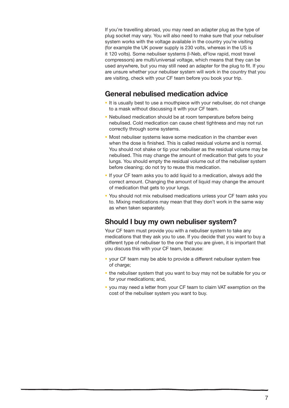If you're travelling abroad, you may need an adapter plug as the type of plug socket may vary. You will also need to make sure that your nebuliser system works with the voltage available in the country you're visiting (for example the UK power supply is 230 volts, whereas in the US is it 120 volts). Some nebuliser systems (I-Neb, eFlow rapid, most travel compressors) are multi/universal voltage, which means that they can be used anywhere, but you may still need an adapter for the plug to fit. If you are unsure whether your nebuliser system will work in the country that you are visiting, check with your CF team before you book your trip.

#### **General nebulised medication advice**

- It is usually best to use a mouthpiece with your nebuliser, do not change to a mask without discussing it with your CF team.
- Nebulised medication should be at room temperature before being nebulised. Cold medication can cause chest tightness and may not run correctly through some systems.
- Most nebuliser systems leave some medication in the chamber even when the dose is finished. This is called residual volume and is normal. You should not shake or tip your nebuliser as the residual volume may be nebulised. This may change the amount of medication that gets to your lungs. You should empty the residual volume out of the nebuliser system before cleaning; do not try to reuse this medication.
- **If your CF team asks you to add liquid to a medication, always add the** correct amount. Changing the amount of liquid may change the amount of medication that gets to your lungs.
- You should not mix nebulised medications unless your CF team asks you to. Mixing medications may mean that they don't work in the same way as when taken separately.

#### **Should I buy my own nebuliser system?**

Your CF team must provide you with a nebuliser system to take any medications that they ask you to use. If you decide that you want to buy a different type of nebuliser to the one that you are given, it is important that you discuss this with your CF team, because:

- vour CF team may be able to provide a different nebuliser system free of charge;
- the nebuliser system that you want to buy may not be suitable for you or for your medications; and,
- vou may need a letter from your CF team to claim VAT exemption on the cost of the nebuliser system you want to buy.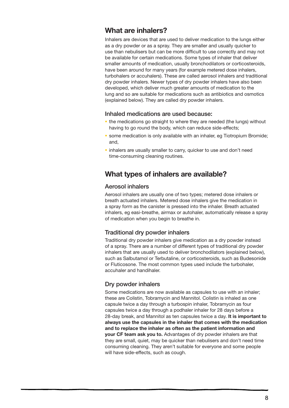#### **What are inhalers?**

Inhalers are devices that are used to deliver medication to the lungs either as a dry powder or as a spray. They are smaller and usually quicker to use than nebulisers but can be more difficult to use correctly and may not be available for certain medications. Some types of inhaler that deliver smaller amounts of medication, usually bronchodilators or corticosteroids, have been around for many years (for example metered dose inhalers, turbohalers or accuhalers). These are called aerosol inhalers and traditional dry powder inhalers. Newer types of dry powder inhalers have also been developed, which deliver much greater amounts of medication to the lung and so are suitable for medications such as antibiotics and osmotics (explained below). They are called dry powder inhalers.

#### Inhaled medications are used because:

- the medications go straight to where they are needed (the lungs) without having to go round the body, which can reduce side-effects;
- some medication is only available with an inhaler, eg Tiotropium Bromide; and,
- **·** inhalers are usually smaller to carry, quicker to use and don't need time-consuming cleaning routines.

#### **What types of inhalers are available?**

#### Aerosol inhalers

Aerosol inhalers are usually one of two types; metered dose inhalers or breath actuated inhalers. Metered dose inhalers give the medication in a spray form as the canister is pressed into the inhaler. Breath actuated inhalers, eg easi-breathe, airmax or autohaler, automatically release a spray of medication when you begin to breathe in.

#### Traditional dry powder inhalers

Traditional dry powder inhalers give medication as a dry powder instead of a spray. There are a number of different types of traditional dry powder inhalers that are usually used to deliver bronchodilators (explained below), such as Salbutamol or Terbutaline, or corticosteroids, such as Budesonide or Fluticosone. The most common types used include the turbohaler, accuhaler and handihaler.

#### Dry powder inhalers

Some medications are now available as capsules to use with an inhaler; these are Colistin, Tobramycin and Mannitol. Colistin is inhaled as one capsule twice a day through a turbospin inhaler, Tobramycin as four capsules twice a day through a podhaler inhaler for 28 days before a 28-day break, and Mannitol as ten capsules twice a day. **It is important to always use the capsules in the inhaler that comes with the medication and to replace the inhaler as often as the patient information and your CF team ask you to.** Advantages of dry powder inhalers are that they are small, quiet, may be quicker than nebulisers and don't need time consuming cleaning. They aren't suitable for everyone and some people will have side-effects, such as cough.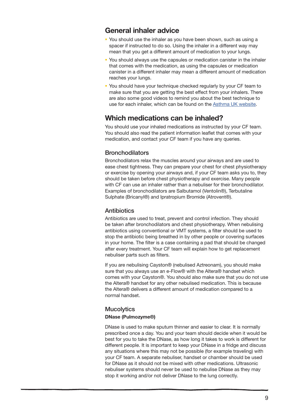#### **General inhaler advice**

- You should use the inhaler as you have been shown, such as using a spacer if instructed to do so. Using the inhaler in a different way may mean that you get a different amount of medication to your lungs.
- You should always use the capsules or medication canister in the inhaler that comes with the medication, as using the capsules or medication canister in a different inhaler may mean a different amount of medication reaches your lungs.
- You should have your technique checked regularly by your CF team to make sure that you are getting the best effect from your inhalers. There are also some good videos to remind you about the best technique to use for each inhaler, which can be found on the [Asthma UK website.](https://www.asthma.org.uk/advice/inhalers-medicines-treatments/using-inhalers/)

#### **Which medications can be inhaled?**

You should use your inhaled medications as instructed by your CF team. You should also read the patient information leaflet that comes with your medication, and contact your CF team if you have any queries.

#### **Bronchodilators**

Bronchodilators relax the muscles around your airways and are used to ease chest tightness. They can prepare your chest for chest physiotherapy or exercise by opening your airways and, if your CF team asks you to, they should be taken before chest physiotherapy and exercise. Many people with CF can use an inhaler rather than a nebuliser for their bronchodilator. Examples of bronchodilators are Salbutamol (Ventolin®), Terbutaline Sulphate (Bricanyl®) and Ipratropium Bromide (Atrovent®).

#### **Antibiotics**

Antibiotics are used to treat, prevent and control infection. They should be taken after bronchodilators and chest physiotherapy. When nebulising antibiotics using conventional or VMT systems, a filter should be used to stop the antibiotic being breathed in by other people or covering surfaces in your home. The filter is a case containing a pad that should be changed after every treatment. Your CF team will explain how to get replacement nebuliser parts such as filters.

If you are nebulising Cayston® (nebulised Aztreonam), you should make sure that you always use an e-Flow® with the Altera® handset which comes with your Cayston®. You should also make sure that you do not use the Altera® handset for any other nebulised medication. This is because the Altera® delivers a different amount of medication compared to a normal handset.

#### **Mucolytics DNase (Pulmozyme®)**

DNase is used to make sputum thinner and easier to clear. It is normally prescribed once a day. You and your team should decide when it would be best for you to take the DNase, as how long it takes to work is different for different people. It is important to keep your DNase in a fridge and discuss any situations where this may not be possible (for example traveling) with your CF team. A separate nebuliser, handset or chamber should be used for DNase as it should not be mixed with other medications. Ultrasonic nebuliser systems should never be used to nebulise DNase as they may stop it working and/or not deliver DNase to the lung correctly.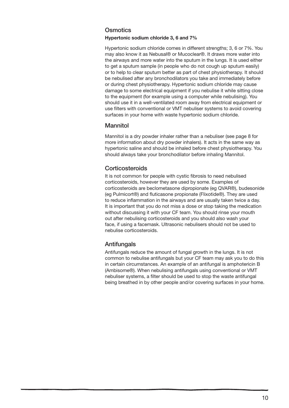#### **Osmotics**

#### **Hypertonic sodium chloride 3, 6 and 7%**

Hypertonic sodium chloride comes in different strengths; 3, 6 or 7%. You may also know it as Nebusal® or Mucoclear®. It draws more water into the airways and more water into the sputum in the lungs. It is used either to get a sputum sample (in people who do not cough up sputum easily) or to help to clear sputum better as part of chest physiotherapy. It should be nebulised after any bronchodilators you take and immediately before or during chest physiotherapy. Hypertonic sodium chloride may cause damage to some electrical equipment if you nebulise it while sitting close to the equipment (for example using a computer while nebulising). You should use it in a well-ventilated room away from electrical equipment or use filters with conventional or VMT nebuliser systems to avoid covering surfaces in your home with waste hypertonic sodium chloride.

#### Mannitol

Mannitol is a dry powder inhaler rather than a nebuliser (see page 8 for more information about dry powder inhalers). It acts in the same way as hypertonic saline and should be inhaled before chest physiotherapy. You should always take your bronchodilator before inhaling Mannitol.

#### **Corticosteroids**

It is not common for people with cystic fibrosis to need nebulised corticosteroids, however they are used by some. Examples of corticosteroids are beclometasone dipropionate (eg QVAR®), budesonide (eg Pulmicort®) and fluticasone propionate (Flixotide®). They are used to reduce inflammation in the airways and are usually taken twice a day. It is important that you do not miss a dose or stop taking the medication without discussing it with your CF team. You should rinse your mouth out after nebulising corticosteroids and you should also wash your face, if using a facemask. Ultrasonic nebulisers should not be used to nebulise corticosteroids.

#### **Antifungals**

Antifungals reduce the amount of fungal growth in the lungs. It is not common to nebulise antifungals but your CF team may ask you to do this in certain circumstances. An example of an antifungal is amphotericin B (Ambisome®). When nebulising antifungals using conventional or VMT nebuliser systems, a filter should be used to stop the waste antifungal being breathed in by other people and/or covering surfaces in your home.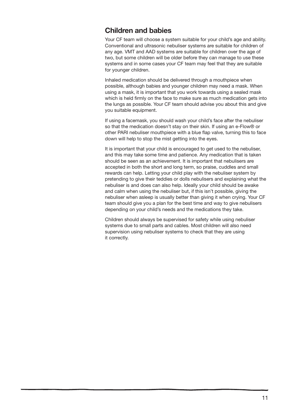#### **Children and babies**

Your CF team will choose a system suitable for your child's age and ability. Conventional and ultrasonic nebuliser systems are suitable for children of any age. VMT and AAD systems are suitable for children over the age of two, but some children will be older before they can manage to use these systems and in some cases your CF team may feel that they are suitable for younger children.

Inhaled medication should be delivered through a mouthpiece when possible, although babies and younger children may need a mask. When using a mask, it is important that you work towards using a sealed mask which is held firmly on the face to make sure as much medication gets into the lungs as possible. Your CF team should advise you about this and give you suitable equipment.

If using a facemask, you should wash your child's face after the nebuliser so that the medication doesn't stay on their skin. If using an e-Flow® or other PARI nebuliser mouthpiece with a blue flap valve, turning this to face down will help to stop the mist getting into the eyes.

It is important that your child is encouraged to get used to the nebuliser, and this may take some time and patience. Any medication that is taken should be seen as an achievement. It is important that nebulisers are accepted in both the short and long term, so praise, cuddles and small rewards can help. Letting your child play with the nebuliser system by pretending to give their teddies or dolls nebulisers and explaining what the nebuliser is and does can also help. Ideally your child should be awake and calm when using the nebuliser but, if this isn't possible, giving the nebuliser when asleep is usually better than giving it when crying. Your CF team should give you a plan for the best time and way to give nebulisers depending on your child's needs and the medications they take.

Children should always be supervised for safety while using nebuliser systems due to small parts and cables. Most children will also need supervision using nebuliser systems to check that they are using it correctly.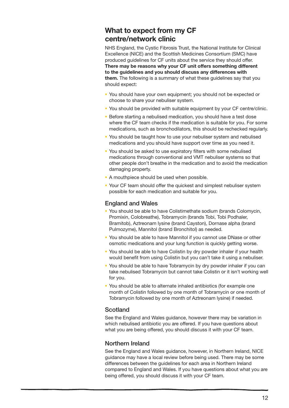### **What to expect from my CF centre/network clinic**

NHS England, the Cystic Fibrosis Trust, the National Institute for Clinical Excellence (NICE) and the Scottish Medicines Consortium (SMC) have produced guidelines for CF units about the service they should offer. **There may be reasons why your CF unit offers something different to the guidelines and you should discuss any differences with them.** The following is a summary of what these guidelines say that you should expect:

- You should have your own equipment; you should not be expected or choose to share your nebuliser system.
- You should be provided with suitable equipment by your CF centre/clinic.
- **Before starting a nebulised medication, you should have a test dose** where the CF team checks if the medication is suitable for you. For some medications, such as bronchodilators, this should be rechecked regularly.
- You should be taught how to use your nebuliser system and nebulised medications and you should have support over time as you need it.
- You should be asked to use expiratory filters with some nebulised medications through conventional and VMT nebuliser systems so that other people don't breathe in the medication and to avoid the medication damaging property.
- A mouthpiece should be used when possible.
- Your CF team should offer the quickest and simplest nebuliser system possible for each medication and suitable for you.

#### England and Wales

- You should be able to have Colistimethate sodium (brands Colomycin, Promixin, Colobreathe), Tobramycin (brands Tobi, Tobi Podhaler, Bramitob), Aztreonam lysine (brand Cayston), Dornase alpha (brand Pulmozyme), Mannitol (brand Bronchitol) as needed.
- You should be able to have Mannitol if you cannot use DNase or other osmotic medications and your lung function is quickly getting worse.
- You should be able to have Colistin by dry powder inhaler if your health would benefit from using Colistin but you can't take it using a nebuliser.
- You should be able to have Tobramycin by dry powder inhaler if you can take nebulised Tobramycin but cannot take Colistin or it isn't working well for you.
- You should be able to alternate inhaled antibiotics (for example one month of Colistin followed by one month of Tobramycin or one month of Tobramycin followed by one month of Aztreonam lysine) if needed.

#### **Scotland**

See the England and Wales guidance, however there may be variation in which nebulised antibiotic you are offered. If you have questions about what you are being offered, you should discuss it with your CF team.

#### Northern Ireland

See the England and Wales guidance, however, in Northern Ireland, NICE guidance may have a local review before being used. There may be some differences between the guidelines for each area in Northern Ireland compared to England and Wales. If you have questions about what you are being offered, you should discuss it with your CF team.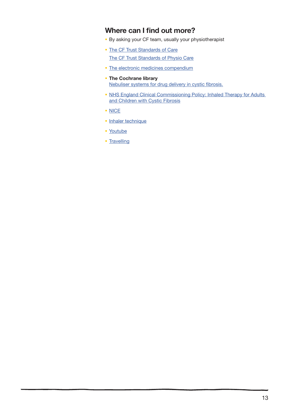#### **Where can I find out more?**

- By asking your CF team, usually your physiotherapist
- **[The CF Trust Standards of Care](https://www.cysticfibrosis.org.uk/the-work-we-do/clinical-care/consensus-documents)** [The CF Trust Standards of Physio Care](https://www.cysticfibrosis.org.uk/the-work-we-do/clinical-care/consensus-documents)
- [The electronic medicines compendium](http://www.medicines.org.uk/emc/)
- **The Cochrane library** [Nebuliser systems for drug delivery in cystic fibrosis.](http://onlinelibrary.wiley.com/doi/10.1002/14651858.CD007639.pub2/abstract)
- NHS England Clinical Commissioning Policy: Inhaled Therapy for Adults [and Children with Cystic Fibrosis](https://www.england.nhs.uk/commissioning/wp-content/uploads/sites/12/2015/01/a01-policy-inhld-thrpy-cf.pdf)
- · [NICE](http://www.nice.org.uk)
- · [Inhaler technique](https://www.asthma.org.uk/advice/inhalers-medicines-treatments/using-inhalers/)
- [Youtube](http://www.youtube.com)
- **[Travelling](http://www.heathrow.com/more/help-with-this-website/faqs/security-and-baggage#carriageofmedicines)**